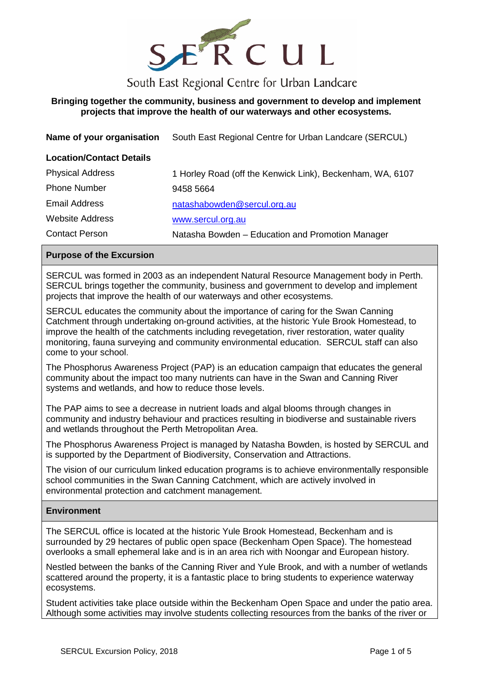

# South East Regional Centre for Urban Landcare

# **Bringing together the community, business and government to develop and implement projects that improve the health of our waterways and other ecosystems.**

|  | Name of your organisation South East Regional Centre for Urban Landcare (SERCUL) |  |
|--|----------------------------------------------------------------------------------|--|
|--|----------------------------------------------------------------------------------|--|

#### **Location/Contact Details**

| <b>Physical Address</b> | 1 Horley Road (off the Kenwick Link), Beckenham, WA, 6107 |
|-------------------------|-----------------------------------------------------------|
| <b>Phone Number</b>     | 9458 5664                                                 |
| <b>Email Address</b>    | natashabowden@sercul.org.au                               |
| <b>Website Address</b>  | www.sercul.org.au                                         |
| <b>Contact Person</b>   | Natasha Bowden – Education and Promotion Manager          |

#### **Purpose of the Excursion**

SERCUL was formed in 2003 as an independent Natural Resource Management body in Perth. SERCUL brings together the community, business and government to develop and implement projects that improve the health of our waterways and other ecosystems.

SERCUL educates the community about the importance of caring for the Swan Canning Catchment through undertaking on-ground activities, at the historic Yule Brook Homestead, to improve the health of the catchments including revegetation, river restoration, water quality monitoring, fauna surveying and community environmental education. SERCUL staff can also come to your school.

The Phosphorus Awareness Project (PAP) is an education campaign that educates the general community about the impact too many nutrients can have in the Swan and Canning River systems and wetlands, and how to reduce those levels.

The PAP aims to see a decrease in nutrient loads and algal blooms through changes in community and industry behaviour and practices resulting in biodiverse and sustainable rivers and wetlands throughout the Perth Metropolitan Area.

The Phosphorus Awareness Project is managed by Natasha Bowden, is hosted by SERCUL and is supported by the Department of Biodiversity, Conservation and Attractions.

The vision of our curriculum linked education programs is to achieve environmentally responsible school communities in the Swan Canning Catchment, which are actively involved in environmental protection and catchment management.

#### **Environment**

The SERCUL office is located at the historic Yule Brook Homestead, Beckenham and is surrounded by 29 hectares of public open space (Beckenham Open Space). The homestead overlooks a small ephemeral lake and is in an area rich with Noongar and European history.

Nestled between the banks of the Canning River and Yule Brook, and with a number of wetlands scattered around the property, it is a fantastic place to bring students to experience waterway ecosystems.

Student activities take place outside within the Beckenham Open Space and under the patio area. Although some activities may involve students collecting resources from the banks of the river or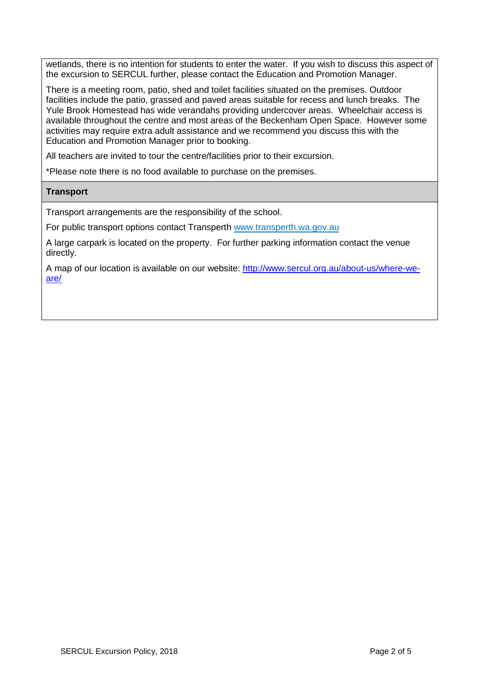wetlands, there is no intention for students to enter the water. If you wish to discuss this aspect of the excursion to SERCUL further, please contact the Education and Promotion Manager.

There is a meeting room, patio, shed and toilet facilities situated on the premises. Outdoor facilities include the patio, grassed and paved areas suitable for recess and lunch breaks. The Yule Brook Homestead has wide verandahs providing undercover areas. Wheelchair access is available throughout the centre and most areas of the Beckenham Open Space. However some activities may require extra adult assistance and we recommend you discuss this with the Education and Promotion Manager prior to booking.

All teachers are invited to tour the centre/facilities prior to their excursion.

\*Please note there is no food available to purchase on the premises.

#### **Transport**

Transport arrangements are the responsibility of the school.

For public transport options contact Transperth [www.transperth.wa.gov.au](http://www.transperth.wa.gov.au/)

A large carpark is located on the property. For further parking information contact the venue directly.

A map of our location is available on our website: [http://www.sercul.org.au/about-us/where-we](http://www.sercul.org.au/about-us/where-we-are/)[are/](http://www.sercul.org.au/about-us/where-we-are/)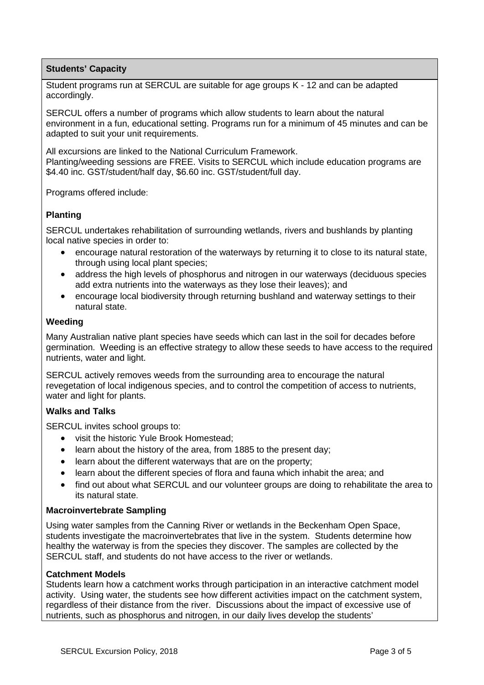# **Students' Capacity**

Student programs run at SERCUL are suitable for age groups K - 12 and can be adapted accordingly.

SERCUL offers a number of programs which allow students to learn about the natural environment in a fun, educational setting. Programs run for a minimum of 45 minutes and can be adapted to suit your unit requirements.

All excursions are linked to the National Curriculum Framework. Planting/weeding sessions are FREE. Visits to SERCUL which include education programs are \$4.40 inc. GST/student/half day, \$6.60 inc. GST/student/full day.

Programs offered include:

# **Planting**

SERCUL undertakes rehabilitation of surrounding wetlands, rivers and bushlands by planting local native species in order to:

- encourage natural restoration of the waterways by returning it to close to its natural state, through using local plant species;
- address the high levels of phosphorus and nitrogen in our waterways (deciduous species add extra nutrients into the waterways as they lose their leaves); and
- encourage local biodiversity through returning bushland and waterway settings to their natural state.

## **Weeding**

Many Australian native plant species have seeds which can last in the soil for decades before germination. Weeding is an effective strategy to allow these seeds to have access to the required nutrients, water and light.

SERCUL actively removes weeds from the surrounding area to encourage the natural revegetation of local indigenous species, and to control the competition of access to nutrients, water and light for plants.

## **Walks and Talks**

SERCUL invites school groups to:

- visit the historic Yule Brook Homestead;
- learn about the history of the area, from 1885 to the present day;
- learn about the different waterways that are on the property;
- learn about the different species of flora and fauna which inhabit the area; and
- find out about what SERCUL and our volunteer groups are doing to rehabilitate the area to its natural state.

## **Macroinvertebrate Sampling**

Using water samples from the Canning River or wetlands in the Beckenham Open Space, students investigate the macroinvertebrates that live in the system. Students determine how healthy the waterway is from the species they discover. The samples are collected by the SERCUL staff, and students do not have access to the river or wetlands.

## **Catchment Models**

Students learn how a catchment works through participation in an interactive catchment model activity. Using water, the students see how different activities impact on the catchment system, regardless of their distance from the river. Discussions about the impact of excessive use of nutrients, such as phosphorus and nitrogen, in our daily lives develop the students'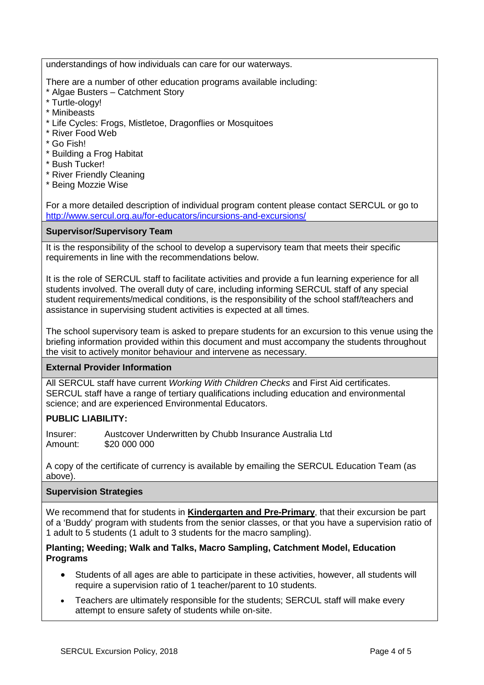understandings of how individuals can care for our waterways.

There are a number of other education programs available including:

- \* Algae Busters Catchment Story
- \* Turtle-ology!
- \* Minibeasts
- \* Life Cycles: Frogs, Mistletoe, Dragonflies or Mosquitoes
- \* River Food Web
- \* Go Fish!
- \* Building a Frog Habitat
- \* Bush Tucker!
- \* River Friendly Cleaning
- \* Being Mozzie Wise

For a more detailed description of individual program content please contact SERCUL or go to <http://www.sercul.org.au/for-educators/incursions-and-excursions/>

## **Supervisor/Supervisory Team**

It is the responsibility of the school to develop a supervisory team that meets their specific requirements in line with the recommendations below.

It is the role of SERCUL staff to facilitate activities and provide a fun learning experience for all students involved. The overall duty of care, including informing SERCUL staff of any special student requirements/medical conditions, is the responsibility of the school staff/teachers and assistance in supervising student activities is expected at all times.

The school supervisory team is asked to prepare students for an excursion to this venue using the briefing information provided within this document and must accompany the students throughout the visit to actively monitor behaviour and intervene as necessary.

## **External Provider Information**

All SERCUL staff have current *Working With Children Checks* and First Aid certificates. SERCUL staff have a range of tertiary qualifications including education and environmental science; and are experienced Environmental Educators.

## **PUBLIC LIABILITY:**

Insurer: Austcover Underwritten by Chubb Insurance Australia Ltd Amount: \$20 000 000

A copy of the certificate of currency is available by emailing the SERCUL Education Team (as above).

## **Supervision Strategies**

We recommend that for students in **Kindergarten and Pre-Primary**, that their excursion be part of a 'Buddy' program with students from the senior classes, or that you have a supervision ratio of 1 adult to 5 students (1 adult to 3 students for the macro sampling).

#### **Planting; Weeding; Walk and Talks, Macro Sampling, Catchment Model, Education Programs**

- Students of all ages are able to participate in these activities, however, all students will require a supervision ratio of 1 teacher/parent to 10 students.
- Teachers are ultimately responsible for the students; SERCUL staff will make every attempt to ensure safety of students while on-site.